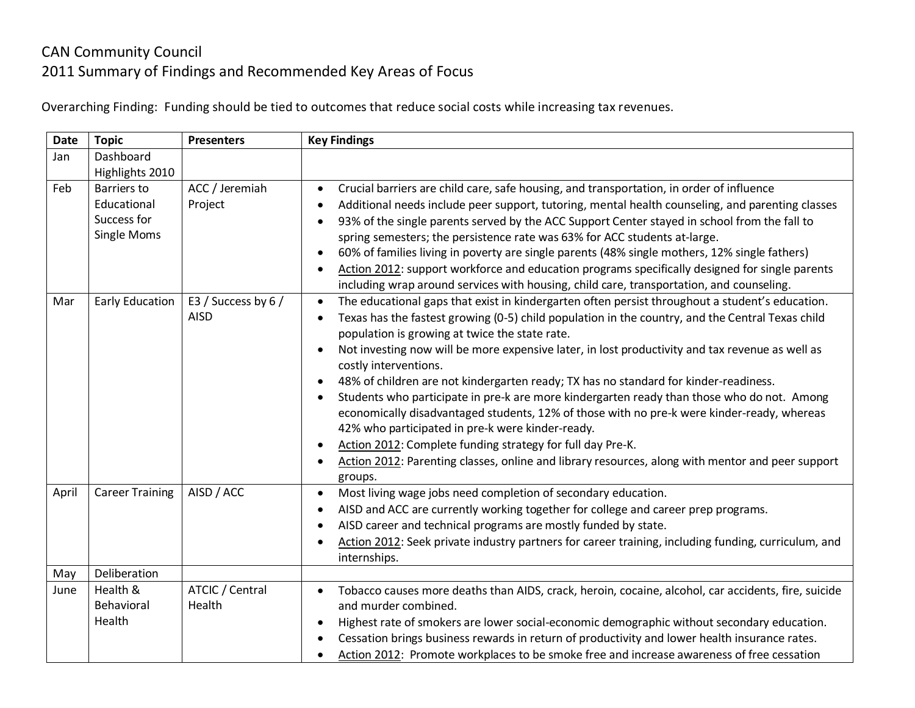## CAN Community Council 2011 Summary of Findings and Recommended Key Areas of Focus

Overarching Finding: Funding should be tied to outcomes that reduce social costs while increasing tax revenues.

| <b>Date</b> | <b>Topic</b>                                                    | <b>Presenters</b>                  | <b>Key Findings</b>                                                                                                                                                                                                                                                                                                                                                                                                                                                                                                                                                                                                                                                                                                                                                                                                                                                                                                                                                                  |
|-------------|-----------------------------------------------------------------|------------------------------------|--------------------------------------------------------------------------------------------------------------------------------------------------------------------------------------------------------------------------------------------------------------------------------------------------------------------------------------------------------------------------------------------------------------------------------------------------------------------------------------------------------------------------------------------------------------------------------------------------------------------------------------------------------------------------------------------------------------------------------------------------------------------------------------------------------------------------------------------------------------------------------------------------------------------------------------------------------------------------------------|
| Jan         | Dashboard<br>Highlights 2010                                    |                                    |                                                                                                                                                                                                                                                                                                                                                                                                                                                                                                                                                                                                                                                                                                                                                                                                                                                                                                                                                                                      |
| Feb         | Barriers to<br>Educational<br>Success for<br><b>Single Moms</b> | ACC / Jeremiah<br>Project          | Crucial barriers are child care, safe housing, and transportation, in order of influence<br>$\bullet$<br>Additional needs include peer support, tutoring, mental health counseling, and parenting classes<br>$\bullet$<br>93% of the single parents served by the ACC Support Center stayed in school from the fall to<br>$\bullet$<br>spring semesters; the persistence rate was 63% for ACC students at-large.<br>60% of families living in poverty are single parents (48% single mothers, 12% single fathers)<br>$\bullet$<br>Action 2012: support workforce and education programs specifically designed for single parents<br>$\bullet$<br>including wrap around services with housing, child care, transportation, and counseling.                                                                                                                                                                                                                                            |
| Mar         | <b>Early Education</b>                                          | E3 / Success by 6 /<br><b>AISD</b> | The educational gaps that exist in kindergarten often persist throughout a student's education.<br>$\bullet$<br>Texas has the fastest growing (0-5) child population in the country, and the Central Texas child<br>$\bullet$<br>population is growing at twice the state rate.<br>Not investing now will be more expensive later, in lost productivity and tax revenue as well as<br>costly interventions.<br>48% of children are not kindergarten ready; TX has no standard for kinder-readiness.<br>$\bullet$<br>Students who participate in pre-k are more kindergarten ready than those who do not. Among<br>$\bullet$<br>economically disadvantaged students, 12% of those with no pre-k were kinder-ready, whereas<br>42% who participated in pre-k were kinder-ready.<br>Action 2012: Complete funding strategy for full day Pre-K.<br>$\bullet$<br>Action 2012: Parenting classes, online and library resources, along with mentor and peer support<br>$\bullet$<br>groups. |
| April       | <b>Career Training</b>                                          | AISD / ACC                         | Most living wage jobs need completion of secondary education.<br>$\bullet$<br>AISD and ACC are currently working together for college and career prep programs.<br>$\bullet$<br>AISD career and technical programs are mostly funded by state.<br>$\bullet$<br>Action 2012: Seek private industry partners for career training, including funding, curriculum, and<br>$\bullet$<br>internships.                                                                                                                                                                                                                                                                                                                                                                                                                                                                                                                                                                                      |
| May         | Deliberation                                                    |                                    |                                                                                                                                                                                                                                                                                                                                                                                                                                                                                                                                                                                                                                                                                                                                                                                                                                                                                                                                                                                      |
| June        | Health &<br>Behavioral<br>Health                                | ATCIC / Central<br>Health          | Tobacco causes more deaths than AIDS, crack, heroin, cocaine, alcohol, car accidents, fire, suicide<br>$\bullet$<br>and murder combined.<br>Highest rate of smokers are lower social-economic demographic without secondary education.<br>$\bullet$<br>Cessation brings business rewards in return of productivity and lower health insurance rates.<br>Action 2012: Promote workplaces to be smoke free and increase awareness of free cessation<br>$\bullet$                                                                                                                                                                                                                                                                                                                                                                                                                                                                                                                       |